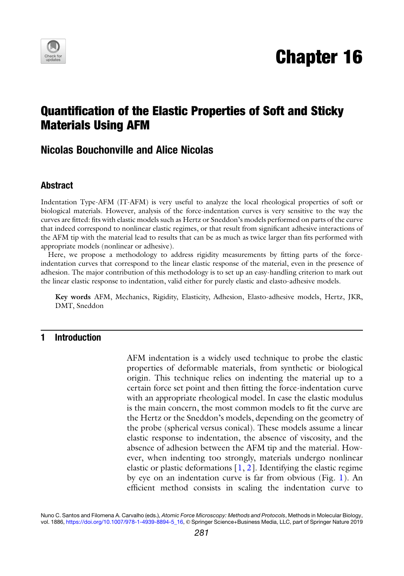

# Chapter 16

## Quantification of the Elastic Properties of Soft and Sticky Materials Using AFM

### Nicolas Bouchonville and Alice Nicolas

#### Abstract

Indentation Type-AFM (IT-AFM) is very useful to analyze the local rheological properties of soft or biological materials. However, analysis of the force-indentation curves is very sensitive to the way the curves are fitted: fits with elastic models such as Hertz or Sneddon's models performed on parts of the curve that indeed correspond to nonlinear elastic regimes, or that result from significant adhesive interactions of the AFM tip with the material lead to results that can be as much as twice larger than fits performed with appropriate models (nonlinear or adhesive).

Here, we propose a methodology to address rigidity measurements by fitting parts of the forceindentation curves that correspond to the linear elastic response of the material, even in the presence of adhesion. The major contribution of this methodology is to set up an easy-handling criterion to mark out the linear elastic response to indentation, valid either for purely elastic and elasto-adhesive models.

Key words AFM, Mechanics, Rigidity, Elasticity, Adhesion, Elasto-adhesive models, Hertz, JKR, DMT, Sneddon

#### 1 Introduction

AFM indentation is a widely used technique to probe the elastic properties of deformable materials, from synthetic or biological origin. This technique relies on indenting the material up to a certain force set point and then fitting the force-indentation curve with an appropriate rheological model. In case the elastic modulus is the main concern, the most common models to fit the curve are the Hertz or the Sneddon's models, depending on the geometry of the probe (spherical versus conical). These models assume a linear elastic response to indentation, the absence of viscosity, and the absence of adhesion between the AFM tip and the material. However, when indenting too strongly, materials undergo nonlinear elastic or plastic deformations  $[1, 2]$  $[1, 2]$  $[1, 2]$  $[1, 2]$ . Identifying the elastic regime by eye on an indentation curve is far from obvious (Fig. [1\)](#page-1-0). An efficient method consists in scaling the indentation curve to

Nuno C. Santos and Filomena A. Carvalho (eds.), Atomic Force Microscopy: Methods and Protocols, Methods in Molecular Biology, vol. 1886, [https://doi.org/10.1007/978-1-4939-8894-5\\_16,](https://doi.org/10.1007/978-1-4939-8894-5_16) © Springer Science+Business Media, LLC, part of Springer Nature 2019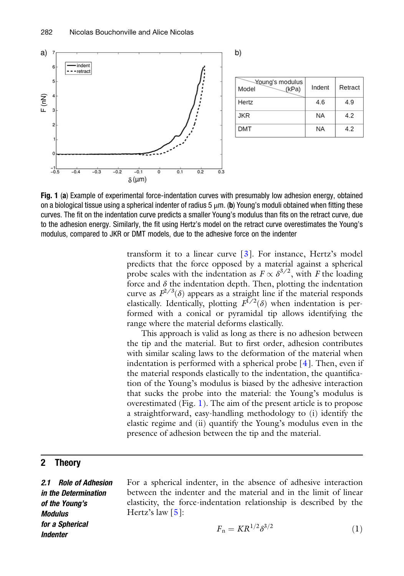<span id="page-1-0"></span>

Fig. 1 (a) Example of experimental force-indentation curves with presumably low adhesion energy, obtained on a biological tissue using a spherical indenter of radius  $5 \mu m$ . (b) Young's moduli obtained when fitting these curves. The fit on the indentation curve predicts a smaller Young's modulus than fits on the retract curve, due to the adhesion energy. Similarly, the fit using Hertz's model on the retract curve overestimates the Young's modulus, compared to JKR or DMT models, due to the adhesive force on the indenter

transform it to a linear curve [[3\]](#page-9-2). For instance, Hertz's model predicts that the force opposed by a material against a spherical probe scales with the indentation as  $F \propto \delta^{3/2}$ , with F the loading force and  $\delta$  the indentation depth. Then, plotting the indentation curve as  $F^{2/3}(\delta)$  appears as a straight line if the material responds elastically. Identically, plotting  $F^{\check{i}/2}(\delta)$  when indentation is performed with a conical or pyramidal tip allows identifying the range where the material deforms elastically.

This approach is valid as long as there is no adhesion between the tip and the material. But to first order, adhesion contributes with similar scaling laws to the deformation of the material when indentation is performed with a spherical probe  $[4]$  $[4]$  $[4]$ . Then, even if the material responds elastically to the indentation, the quantification of the Young's modulus is biased by the adhesive interaction that sucks the probe into the material: the Young's modulus is overestimated (Fig. [1](#page-1-0)). The aim of the present article is to propose a straightforward, easy-handling methodology to (i) identify the elastic regime and (ii) quantify the Young's modulus even in the presence of adhesion between the tip and the material.

#### 2 Theory

<span id="page-1-1"></span>2.1 Role of Adhesion in the Determination of the Young's Modulus for a Spherical **Indenter** 

For a spherical indenter, in the absence of adhesive interaction between the indenter and the material and in the limit of linear elasticity, the force-indentation relationship is described by the Hertz's law  $\lceil 5 \rceil$ :

$$
F_{\rm n} = KR^{1/2} \delta^{3/2} \tag{1}
$$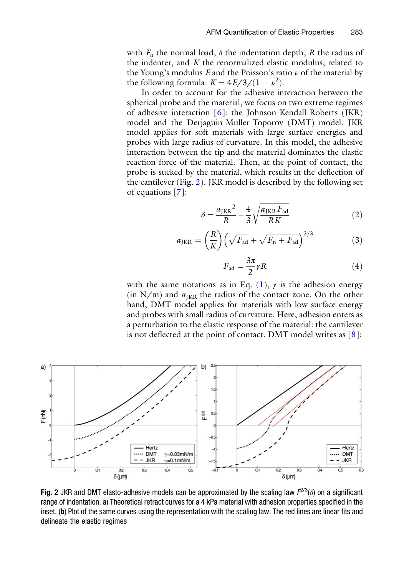with  $F_n$  the normal load,  $\delta$  the indentation depth, R the radius of the indenter, and  $K$  the renormalized elastic modulus, related to the Young's modulus E and the Poisson's ratio  $\nu$  of the material by the following formula:  $K = \frac{4E}{3/(1 - \nu^2)}$ .

<span id="page-2-1"></span>In order to account for the adhesive interaction between the spherical probe and the material, we focus on two extreme regimes of adhesive interaction [\[6](#page-9-5)]: the Johnson-Kendall-Roberts (JKR) model and the Derjaguin-Muller-Toporov (DMT) model. JKR model applies for soft materials with large surface energies and probes with large radius of curvature. In this model, the adhesive interaction between the tip and the material dominates the elastic reaction force of the material. Then, at the point of contact, the probe is sucked by the material, which results in the deflection of the cantilever (Fig. [2\)](#page-2-0). JKR model is described by the following set of equations [[7\]](#page-9-6):

$$
\delta = \frac{a_{\text{JKR}}^2}{R} - \frac{4}{3} \sqrt{\frac{a_{\text{JKR}} F_{\text{ad}}}{RK}} \tag{2}
$$

$$
a_{\text{JKR}} = \left(\frac{R}{K}\right) \left(\sqrt{F_{\text{ad}}} + \sqrt{F_{\text{n}} + F_{\text{ad}}}\right)^{2/3} \tag{3}
$$

$$
F_{\rm ad} = \frac{3\pi}{2} \gamma R \tag{4}
$$

with the same notations as in Eq. [\(1\)](#page-1-1),  $\gamma$  is the adhesion energy (in  $N/m$ ) and  $a_{IKR}$  the radius of the contact zone. On the other hand, DMT model applies for materials with low surface energy and probes with small radius of curvature. Here, adhesion enters as a perturbation to the elastic response of the material: the cantilever is not deflected at the point of contact. DMT model writes as  $[8]$ :

<span id="page-2-3"></span><span id="page-2-2"></span><span id="page-2-0"></span>

Fig. 2 JKR and DMT elasto-adhesive models can be approximated by the scaling law  $F^{2/3}(\delta)$  on a significant range of indentation. a) Theoretical retract curves for a 4 kPa material with adhesion properties specified in the inset. (b) Plot of the same curves using the representation with the scaling law. The red lines are linear fits and delineate the elastic regimes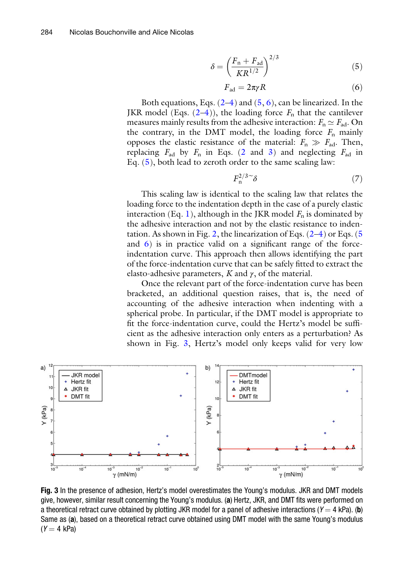$$
\delta = \left(\frac{F_{\rm n} + F_{\rm ad}}{KR^{1/2}}\right)^{2/3} \tag{5}
$$

$$
F_{\rm ad} = 2\pi \gamma R \tag{6}
$$

<span id="page-3-1"></span><span id="page-3-0"></span>Both equations, Eqs.  $(2-4)$  $(2-4)$  $(2-4)$  $(2-4)$  and  $(5, 6)$  $(5, 6)$  $(5, 6)$  $(5, 6)$ , can be linearized. In the JKR model (Eqs.  $(2-4)$  $(2-4)$  $(2-4)$  $(2-4)$ ), the loading force  $F_n$  that the cantilever measures mainly results from the adhesive interaction:  $F_n \simeq F_{\text{ad}}$ . On the contrary, in the DMT model, the loading force  $F_n$  mainly opposes the elastic resistance of the material:  $F_n \gg F_{ad}$ . Then, replacing  $F_{ad}$  by  $F_n$  in Eqs. [\(2](#page-2-1) and [3](#page-2-3)) and neglecting  $F_{ad}$  in Eq. [\(5](#page-3-0)), both lead to zeroth order to the same scaling law:

$$
F_{\rm n}^{2/3} \tilde{\delta} \tag{7}
$$

<span id="page-3-3"></span>This scaling law is identical to the scaling law that relates the loading force to the indentation depth in the case of a purely elastic interaction (Eq. [1\)](#page-1-1), although in the JKR model  $F_n$  is dominated by the adhesive interaction and not by the elastic resistance to inden-tation. As shown in Fig. [2,](#page-2-0) the linearization of Eqs.  $(2-4)$  $(2-4)$  or Eqs. ([5](#page-3-0)) and [6](#page-3-1)) is in practice valid on a significant range of the forceindentation curve. This approach then allows identifying the part of the force-indentation curve that can be safely fitted to extract the elasto-adhesive parameters, K and  $\gamma$ , of the material.

Once the relevant part of the force-indentation curve has been bracketed, an additional question raises, that is, the need of accounting of the adhesive interaction when indenting with a spherical probe. In particular, if the DMT model is appropriate to fit the force-indentation curve, could the Hertz's model be sufficient as the adhesive interaction only enters as a perturbation? As shown in Fig. [3](#page-3-2), Hertz's model only keeps valid for very low

<span id="page-3-2"></span>

Fig. 3 In the presence of adhesion, Hertz's model overestimates the Young's modulus. JKR and DMT models give, however, similar result concerning the Young's modulus. (a) Hertz, JKR, and DMT fits were performed on a theoretical retract curve obtained by plotting JKR model for a panel of adhesive interactions ( $Y = 4$  kPa). (b) Same as (a), based on a theoretical retract curve obtained using DMT model with the same Young's modulus  $(Y = 4$  kPa)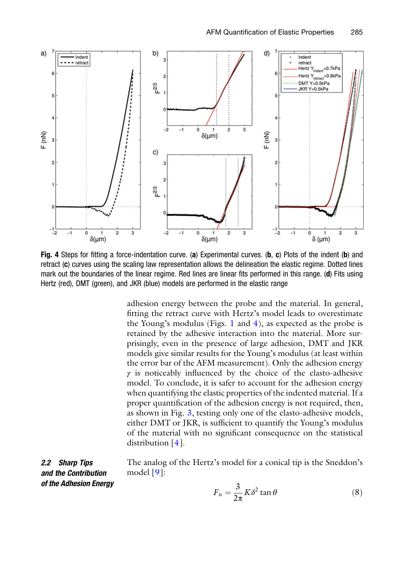<span id="page-4-0"></span>

Fig. 4 Steps for fitting a force-indentation curve. (a) Experimental curves. (b, c) Plots of the indent (b) and retract (c) curves using the scaling law representation allows the delineation the elastic regime. Dotted lines mark out the boundaries of the linear regime. Red lines are linear fits performed in this range. (d) Fits using Hertz (red), DMT (green), and JKR (blue) models are performed in the elastic range

adhesion energy between the probe and the material. In general, fitting the retract curve with Hertz's model leads to overestimate the Young's modulus (Figs. [1](#page-1-0) and  $4$ ), as expected as the probe is retained by the adhesive interaction into the material. More surprisingly, even in the presence of large adhesion, DMT and JKR models give similar results for the Young's modulus (at least within the error bar of the AFM measurement). Only the adhesion energy  $\gamma$  is noticeably influenced by the choice of the elasto-adhesive model. To conclude, it is safer to account for the adhesion energy when quantifying the elastic properties of the indented material. If a proper quantification of the adhesion energy is not required, then, as shown in Fig. [3,](#page-3-2) testing only one of the elasto-adhesive models, either DMT or JKR, is sufficient to quantify the Young's modulus of the material with no significant consequence on the statistical distribution [\[4](#page-9-3)].

<span id="page-4-1"></span>2.2 Sharp Tips and the Contribution of the Adhesion Energy The analog of the Hertz's model for a conical tip is the Sneddon's model [[9\]](#page-9-7):

$$
F_{\rm n} = \frac{3}{2\pi} K \delta^2 \tan \theta \tag{8}
$$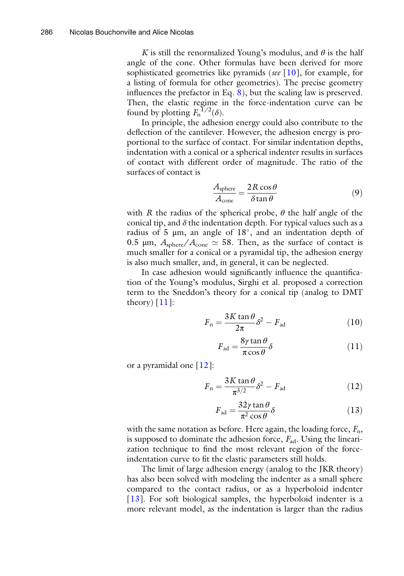K is still the renormalized Young's modulus, and  $\theta$  is the half angle of the cone. Other formulas have been derived for more sophisticated geometries like pyramids (see [\[10](#page-9-8)], for example, for a listing of formula for other geometries). The precise geometry influences the prefactor in Eq. [8](#page-4-1)), but the scaling law is preserved. Then, the elastic regime in the force-indentation curve can be found by plotting  $F_n^{\bar{1}/2}(\delta)$ .

In principle, the adhesion energy could also contribute to the deflection of the cantilever. However, the adhesion energy is proportional to the surface of contact. For similar indentation depths, indentation with a conical or a spherical indenter results in surfaces of contact with different order of magnitude. The ratio of the surfaces of contact is

$$
\frac{A_{\text{sphere}}}{A_{\text{cone}}} = \frac{2R\cos\theta}{\delta\tan\theta} \tag{9}
$$

with R the radius of the spherical probe,  $\theta$  the half angle of the conical tip, and  $\delta$  the indentation depth. For typical values such as a radius of 5  $\mu$ m, an angle of 18 $^{\circ}$ , and an indentation depth of 0.5  $\mu$ m,  $A_{\text{sphere}}/A_{\text{cone}} \simeq 58$ . Then, as the surface of contact is much smaller for a conical or a pyramidal tip, the adhesion energy is also much smaller, and, in general, it can be neglected.

<span id="page-5-0"></span>In case adhesion would significantly influence the quantification of the Young's modulus, Sirghi et al. proposed a correction term to the Sneddon's theory for a conical tip (analog to DMT theory)  $[11]$  $[11]$ :

$$
F_{\rm n} = \frac{3K \tan \theta}{2\pi} \delta^2 - F_{\rm ad} \tag{10}
$$

$$
F_{\rm ad} = \frac{8\gamma \tan \theta}{\pi \cos \theta} \delta \tag{11}
$$

<span id="page-5-2"></span><span id="page-5-1"></span>or a pyramidal one  $[12]$  $[12]$ :

$$
F_{\rm n} = \frac{3K \tan \theta}{\pi^{3/2}} \delta^2 - F_{\rm ad} \tag{12}
$$

$$
F_{\rm ad} = \frac{32\gamma \tan \theta}{\pi^2 \cos \theta} \delta \tag{13}
$$

<span id="page-5-3"></span>with the same notation as before. Here again, the loading force,  $F_n$ , is supposed to dominate the adhesion force,  $F_{\text{ad}}$ . Using the linearization technique to find the most relevant region of the forceindentation curve to fit the elastic parameters still holds.

The limit of large adhesion energy (analog to the JKR theory) has also been solved with modeling the indenter as a small sphere compared to the contact radius, or as a hyperboloid indenter [[13\]](#page-9-11). For soft biological samples, the hyperboloid indenter is a more relevant model, as the indentation is larger than the radius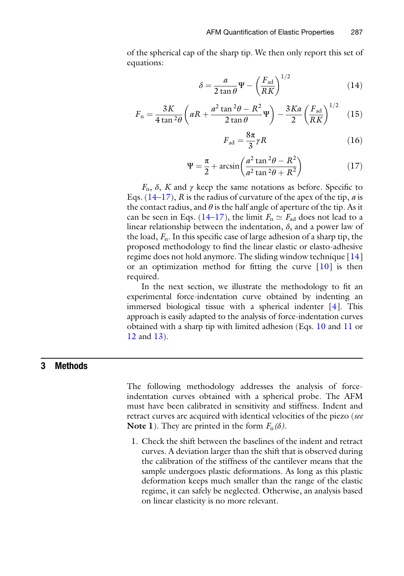<span id="page-6-0"></span>of the spherical cap of the sharp tip. We then only report this set of equations:

$$
\delta = \frac{a}{2 \tan \theta} \Psi - \left(\frac{F_{\text{ad}}}{RK}\right)^{1/2} \tag{14}
$$

$$
F_{\rm n} = \frac{3K}{4 \tan^2 \theta} \left( aR + \frac{a^2 \tan^2 \theta - R^2}{2 \tan \theta} \Psi \right) - \frac{3Ka}{2} \left( \frac{F_{\rm ad}}{RK} \right)^{1/2} \quad (15)
$$

$$
F_{\rm ad} = \frac{8\pi}{3}\gamma R\tag{16}
$$

$$
\Psi = \frac{\pi}{2} + \arcsin\left(\frac{a^2 \tan^2 \theta - R^2}{a^2 \tan^2 \theta + R^2}\right) \tag{17}
$$

<span id="page-6-1"></span> $F_n$ ,  $\delta$ , K and  $\gamma$  keep the same notations as before. Specific to Eqs.  $(14-17)$  $(14-17)$ , R is the radius of curvature of the apex of the tip, a is the contact radius, and  $\theta$  is the half angle of aperture of the tip. As it can be seen in Eqs. ([14](#page-6-0)–[17](#page-6-1)), the limit  $F_n \simeq F_{ad}$  does not lead to a linear relationship between the indentation,  $\delta$ , and a power law of the load,  $F_n$ . In this specific case of large adhesion of a sharp tip, the proposed methodology to find the linear elastic or elasto-adhesive regime does not hold anymore. The sliding window technique [[14](#page-9-12)] or an optimization method for fitting the curve [\[10](#page-9-8)] is then required.

In the next section, we illustrate the methodology to fit an experimental force-indentation curve obtained by indenting an immersed biological tissue with a spherical indenter [\[4\]](#page-9-3). This approach is easily adapted to the analysis of force-indentation curves obtained with a sharp tip with limited adhesion (Eqs. [10](#page-5-0) and [11](#page-5-1) or [12](#page-5-2) and [13\)](#page-5-3).

#### <span id="page-6-2"></span>3 Methods

The following methodology addresses the analysis of forceindentation curves obtained with a spherical probe. The AFM must have been calibrated in sensitivity and stiffness. Indent and retract curves are acquired with identical velocities of the piezo (see **Note 1**). They are printed in the form  $F_n(\delta)$ .

1. Check the shift between the baselines of the indent and retract curves. A deviation larger than the shift that is observed during the calibration of the stiffness of the cantilever means that the sample undergoes plastic deformations. As long as this plastic deformation keeps much smaller than the range of the elastic regime, it can safely be neglected. Otherwise, an analysis based on linear elasticity is no more relevant.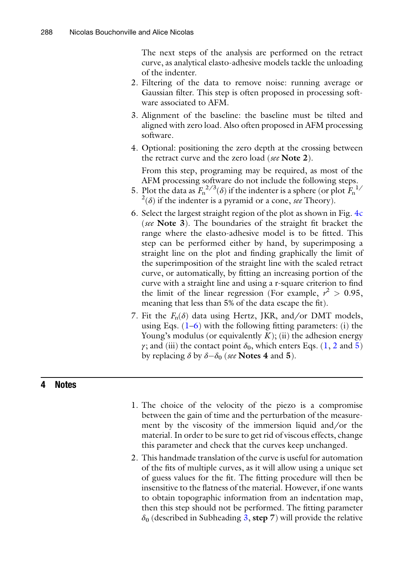The next steps of the analysis are performed on the retract curve, as analytical elasto-adhesive models tackle the unloading of the indenter.

- 2. Filtering of the data to remove noise: running average or Gaussian filter. This step is often proposed in processing software associated to AFM.
- 3. Alignment of the baseline: the baseline must be tilted and aligned with zero load. Also often proposed in AFM processing software.
- 4. Optional: positioning the zero depth at the crossing between the retract curve and the zero load (see Note 2).

From this step, programing may be required, as most of the AFM processing software do not include the following steps.

- 5. Plot the data as  $F_n^{2/3}(\delta)$  if the indenter is a sphere (or plot  $F_n^{1/3}$  $^{2}$ ( $\delta$ ) if the indenter is a pyramid or a cone, see Theory).
- 6. Select the largest straight region of the plot as shown in Fig. [4c](#page-4-0) (see Note 3). The boundaries of the straight fit bracket the range where the elasto-adhesive model is to be fitted. This step can be performed either by hand, by superimposing a straight line on the plot and finding graphically the limit of the superimposition of the straight line with the scaled retract curve, or automatically, by fitting an increasing portion of the curve with a straight line and using a r-square criterion to find the limit of the linear regression (For example,  $r^2 > 0.95$ , meaning that less than 5% of the data escape the fit).
- 7. Fit the  $F_n(\delta)$  data using Hertz, JKR, and/or DMT models, using Eqs.  $(1-6)$  $(1-6)$  with the following fitting parameters: (i) the Young's modulus (or equivalently  $K$ ); (ii) the adhesion energy γ; and (iii) the contact point  $δ_0$ , which enters Eqs. [\(1](#page-1-1), [2](#page-2-1) and [5\)](#page-3-0) by replacing  $\delta$  by  $\delta - \delta_0$  (see **Notes 4** and 5).

#### 4 Notes

- 1. The choice of the velocity of the piezo is a compromise between the gain of time and the perturbation of the measurement by the viscosity of the immersion liquid and/or the material. In order to be sure to get rid of viscous effects, change this parameter and check that the curves keep unchanged.
- 2. This handmade translation of the curve is useful for automation of the fits of multiple curves, as it will allow using a unique set of guess values for the fit. The fitting procedure will then be insensitive to the flatness of the material. However, if one wants to obtain topographic information from an indentation map, then this step should not be performed. The fitting parameter  $\delta_0$  (described in Subheading [3](#page-6-2), step 7) will provide the relative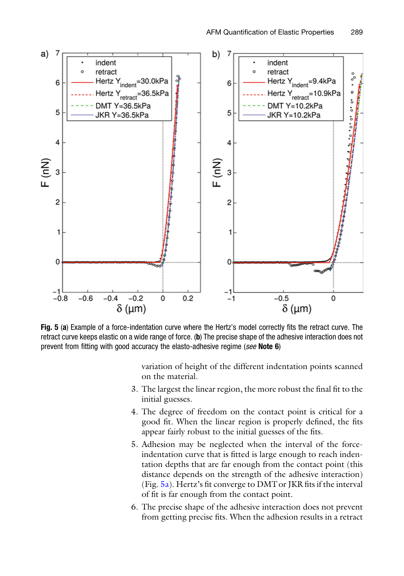<span id="page-8-0"></span>

Fig. 5 (a) Example of a force-indentation curve where the Hertz's model correctly fits the retract curve. The retract curve keeps elastic on a wide range of force. (b) The precise shape of the adhesive interaction does not prevent from fitting with good accuracy the elasto-adhesive regime (see Note 6)

variation of height of the different indentation points scanned on the material.

- 3. The largest the linear region, the more robust the final fit to the initial guesses.
- 4. The degree of freedom on the contact point is critical for a good fit. When the linear region is properly defined, the fits appear fairly robust to the initial guesses of the fits.
- 5. Adhesion may be neglected when the interval of the forceindentation curve that is fitted is large enough to reach indentation depths that are far enough from the contact point (this distance depends on the strength of the adhesive interaction) (Fig. [5a](#page-8-0)). Hertz's fit converge to DMT or JKR fits if the interval of fit is far enough from the contact point.
- 6. The precise shape of the adhesive interaction does not prevent from getting precise fits. When the adhesion results in a retract